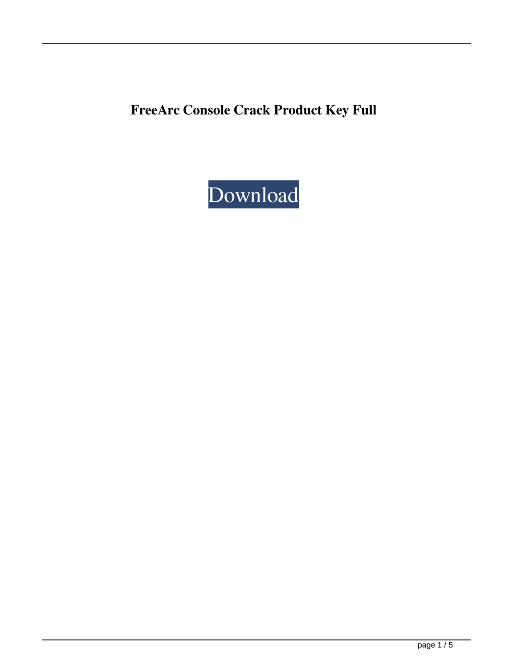**FreeArc Console Crack Product Key Full**

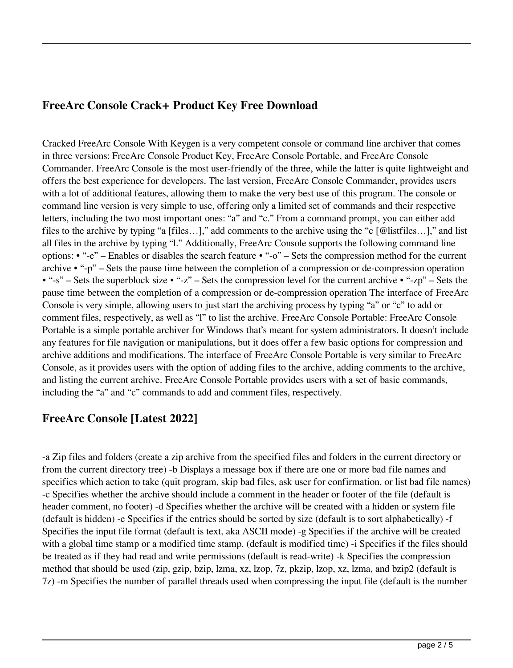#### **FreeArc Console Crack+ Product Key Free Download**

Cracked FreeArc Console With Keygen is a very competent console or command line archiver that comes in three versions: FreeArc Console Product Key, FreeArc Console Portable, and FreeArc Console Commander. FreeArc Console is the most user-friendly of the three, while the latter is quite lightweight and offers the best experience for developers. The last version, FreeArc Console Commander, provides users with a lot of additional features, allowing them to make the very best use of this program. The console or command line version is very simple to use, offering only a limited set of commands and their respective letters, including the two most important ones: "a" and "c." From a command prompt, you can either add files to the archive by typing "a [files…]," add comments to the archive using the "c [@listfiles…]," and list all files in the archive by typing "l." Additionally, FreeArc Console supports the following command line options: • "-e" – Enables or disables the search feature • "-o" – Sets the compression method for the current archive • "-p" – Sets the pause time between the completion of a compression or de-compression operation • "-s" – Sets the superblock size • "-z" – Sets the compression level for the current archive • "-zp" – Sets the pause time between the completion of a compression or de-compression operation The interface of FreeArc Console is very simple, allowing users to just start the archiving process by typing "a" or "c" to add or comment files, respectively, as well as "l" to list the archive. FreeArc Console Portable: FreeArc Console Portable is a simple portable archiver for Windows that's meant for system administrators. It doesn't include any features for file navigation or manipulations, but it does offer a few basic options for compression and archive additions and modifications. The interface of FreeArc Console Portable is very similar to FreeArc Console, as it provides users with the option of adding files to the archive, adding comments to the archive, and listing the current archive. FreeArc Console Portable provides users with a set of basic commands, including the "a" and "c" commands to add and comment files, respectively.

## **FreeArc Console [Latest 2022]**

-a Zip files and folders (create a zip archive from the specified files and folders in the current directory or from the current directory tree) -b Displays a message box if there are one or more bad file names and specifies which action to take (quit program, skip bad files, ask user for confirmation, or list bad file names) -c Specifies whether the archive should include a comment in the header or footer of the file (default is header comment, no footer) -d Specifies whether the archive will be created with a hidden or system file (default is hidden) -e Specifies if the entries should be sorted by size (default is to sort alphabetically) -f Specifies the input file format (default is text, aka ASCII mode) -g Specifies if the archive will be created with a global time stamp or a modified time stamp. (default is modified time) -i Specifies if the files should be treated as if they had read and write permissions (default is read-write) -k Specifies the compression method that should be used (zip, gzip, bzip, lzma, xz, lzop, 7z, pkzip, lzop, xz, lzma, and bzip2 (default is 7z) -m Specifies the number of parallel threads used when compressing the input file (default is the number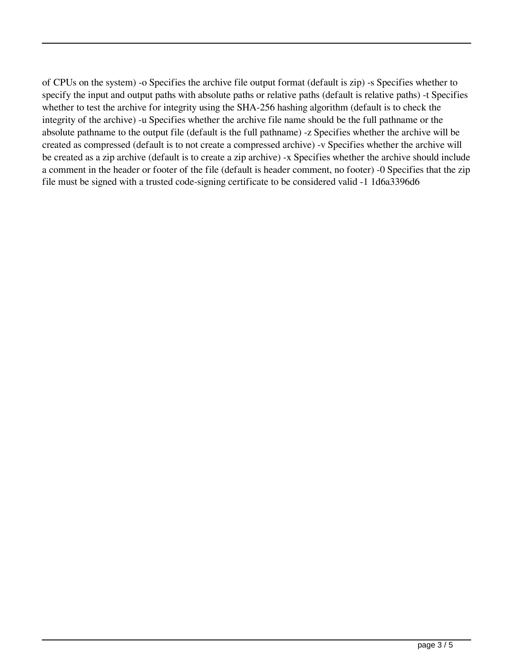of CPUs on the system) -o Specifies the archive file output format (default is zip) -s Specifies whether to specify the input and output paths with absolute paths or relative paths (default is relative paths) -t Specifies whether to test the archive for integrity using the SHA-256 hashing algorithm (default is to check the integrity of the archive) -u Specifies whether the archive file name should be the full pathname or the absolute pathname to the output file (default is the full pathname) -z Specifies whether the archive will be created as compressed (default is to not create a compressed archive) -v Specifies whether the archive will be created as a zip archive (default is to create a zip archive) -x Specifies whether the archive should include a comment in the header or footer of the file (default is header comment, no footer) -0 Specifies that the zip file must be signed with a trusted code-signing certificate to be considered valid -1 1d6a3396d6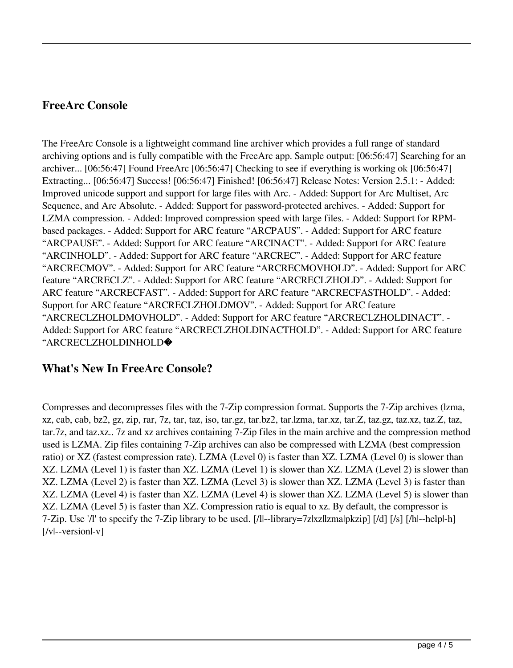### **FreeArc Console**

The FreeArc Console is a lightweight command line archiver which provides a full range of standard archiving options and is fully compatible with the FreeArc app. Sample output: [06:56:47] Searching for an archiver... [06:56:47] Found FreeArc [06:56:47] Checking to see if everything is working ok [06:56:47] Extracting... [06:56:47] Success! [06:56:47] Finished! [06:56:47] Release Notes: Version 2.5.1: - Added: Improved unicode support and support for large files with Arc. - Added: Support for Arc Multiset, Arc Sequence, and Arc Absolute. - Added: Support for password-protected archives. - Added: Support for LZMA compression. - Added: Improved compression speed with large files. - Added: Support for RPMbased packages. - Added: Support for ARC feature "ARCPAUS". - Added: Support for ARC feature "ARCPAUSE". - Added: Support for ARC feature "ARCINACT". - Added: Support for ARC feature "ARCINHOLD". - Added: Support for ARC feature "ARCREC". - Added: Support for ARC feature "ARCRECMOV". - Added: Support for ARC feature "ARCRECMOVHOLD". - Added: Support for ARC feature "ARCRECLZ". - Added: Support for ARC feature "ARCRECLZHOLD". - Added: Support for ARC feature "ARCRECFAST". - Added: Support for ARC feature "ARCRECFASTHOLD". - Added: Support for ARC feature "ARCRECLZHOLDMOV". - Added: Support for ARC feature "ARCRECLZHOLDMOVHOLD". - Added: Support for ARC feature "ARCRECLZHOLDINACT". - Added: Support for ARC feature "ARCRECLZHOLDINACTHOLD". - Added: Support for ARC feature "ARCRECLZHOLDINHOLD�

#### **What's New In FreeArc Console?**

Compresses and decompresses files with the 7-Zip compression format. Supports the 7-Zip archives (lzma, xz, cab, cab, bz2, gz, zip, rar, 7z, tar, taz, iso, tar.gz, tar.bz2, tar.lzma, tar.xz, tar.Z, taz.gz, taz.xz, taz.Z, taz, tar.7z, and taz.xz.. 7z and xz archives containing 7-Zip files in the main archive and the compression method used is LZMA. Zip files containing 7-Zip archives can also be compressed with LZMA (best compression ratio) or XZ (fastest compression rate). LZMA (Level 0) is faster than XZ. LZMA (Level 0) is slower than XZ. LZMA (Level 1) is faster than XZ. LZMA (Level 1) is slower than XZ. LZMA (Level 2) is slower than XZ. LZMA (Level 2) is faster than XZ. LZMA (Level 3) is slower than XZ. LZMA (Level 3) is faster than XZ. LZMA (Level 4) is faster than XZ. LZMA (Level 4) is slower than XZ. LZMA (Level 5) is slower than XZ. LZMA (Level 5) is faster than XZ. Compression ratio is equal to xz. By default, the compressor is 7-Zip. Use '/l' to specify the 7-Zip library to be used. [/l|--library=7z|xz|lzma|pkzip] [/d] [/s] [/h|--help|-h] [/v|--version|-v]